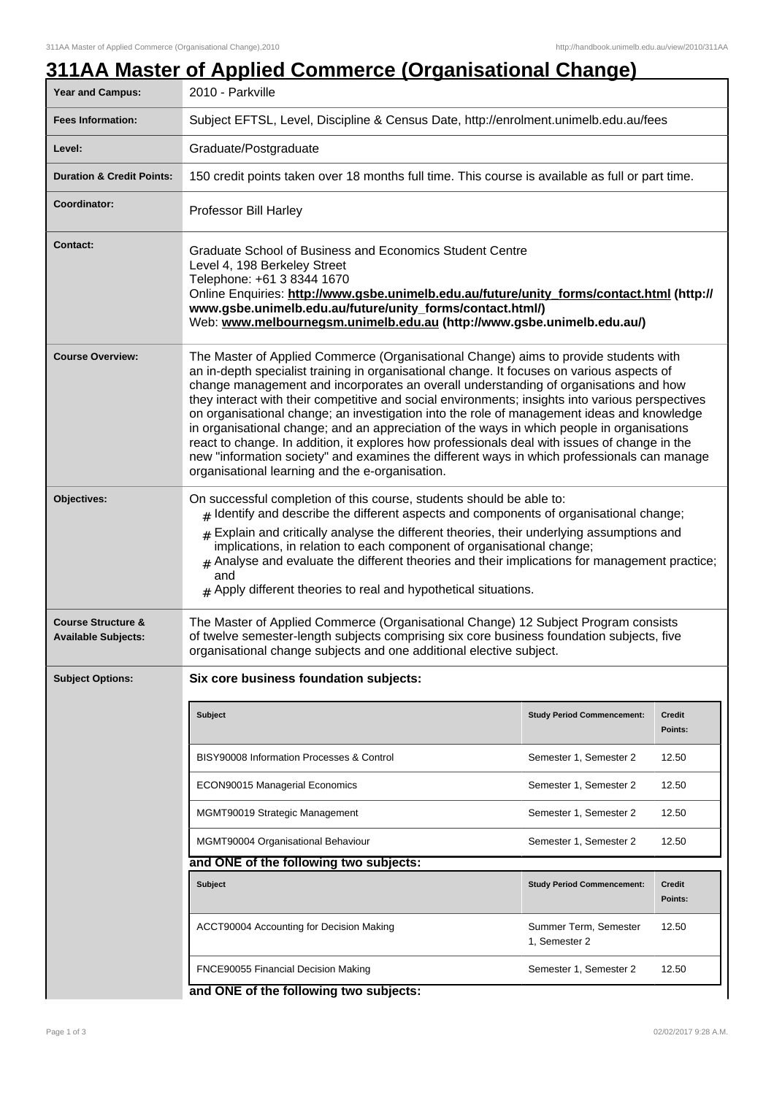| <b>Year and Campus:</b>                                     | 2010 - Parkville                                                                                                                                                                                                                                                                                                                                                                                                                                                                                                                                                                                                                                                                                                                                                                                                              |                                   |                          |  |
|-------------------------------------------------------------|-------------------------------------------------------------------------------------------------------------------------------------------------------------------------------------------------------------------------------------------------------------------------------------------------------------------------------------------------------------------------------------------------------------------------------------------------------------------------------------------------------------------------------------------------------------------------------------------------------------------------------------------------------------------------------------------------------------------------------------------------------------------------------------------------------------------------------|-----------------------------------|--------------------------|--|
| <b>Fees Information:</b>                                    | Subject EFTSL, Level, Discipline & Census Date, http://enrolment.unimelb.edu.au/fees                                                                                                                                                                                                                                                                                                                                                                                                                                                                                                                                                                                                                                                                                                                                          |                                   |                          |  |
| Level:                                                      | Graduate/Postgraduate                                                                                                                                                                                                                                                                                                                                                                                                                                                                                                                                                                                                                                                                                                                                                                                                         |                                   |                          |  |
| <b>Duration &amp; Credit Points:</b>                        | 150 credit points taken over 18 months full time. This course is available as full or part time.                                                                                                                                                                                                                                                                                                                                                                                                                                                                                                                                                                                                                                                                                                                              |                                   |                          |  |
| Coordinator:                                                | Professor Bill Harley                                                                                                                                                                                                                                                                                                                                                                                                                                                                                                                                                                                                                                                                                                                                                                                                         |                                   |                          |  |
| <b>Contact:</b>                                             | Graduate School of Business and Economics Student Centre<br>Level 4, 198 Berkeley Street<br>Telephone: +61 3 8344 1670<br>Online Enquiries: http://www.gsbe.unimelb.edu.au/future/unity_forms/contact.html (http://<br>www.gsbe.unimelb.edu.au/future/unity_forms/contact.html/)<br>Web: www.melbournegsm.unimelb.edu.au (http://www.gsbe.unimelb.edu.au/)                                                                                                                                                                                                                                                                                                                                                                                                                                                                    |                                   |                          |  |
| <b>Course Overview:</b>                                     | The Master of Applied Commerce (Organisational Change) aims to provide students with<br>an in-depth specialist training in organisational change. It focuses on various aspects of<br>change management and incorporates an overall understanding of organisations and how<br>they interact with their competitive and social environments; insights into various perspectives<br>on organisational change; an investigation into the role of management ideas and knowledge<br>in organisational change; and an appreciation of the ways in which people in organisations<br>react to change. In addition, it explores how professionals deal with issues of change in the<br>new "information society" and examines the different ways in which professionals can manage<br>organisational learning and the e-organisation. |                                   |                          |  |
| Objectives:                                                 | On successful completion of this course, students should be able to:<br>$#$ Identify and describe the different aspects and components of organisational change;<br>$#$ Explain and critically analyse the different theories, their underlying assumptions and<br>implications, in relation to each component of organisational change;<br>$#$ Analyse and evaluate the different theories and their implications for management practice;<br>and<br>$#$ Apply different theories to real and hypothetical situations.                                                                                                                                                                                                                                                                                                       |                                   |                          |  |
| <b>Course Structure &amp;</b><br><b>Available Subjects:</b> | The Master of Applied Commerce (Organisational Change) 12 Subject Program consists<br>of twelve semester-length subjects comprising six core business foundation subjects, five<br>organisational change subjects and one additional elective subject.                                                                                                                                                                                                                                                                                                                                                                                                                                                                                                                                                                        |                                   |                          |  |
| <b>Subject Options:</b>                                     | Six core business foundation subjects:                                                                                                                                                                                                                                                                                                                                                                                                                                                                                                                                                                                                                                                                                                                                                                                        |                                   |                          |  |
|                                                             | <b>Subject</b>                                                                                                                                                                                                                                                                                                                                                                                                                                                                                                                                                                                                                                                                                                                                                                                                                | <b>Study Period Commencement:</b> | <b>Credit</b><br>Points: |  |
|                                                             | BISY90008 Information Processes & Control                                                                                                                                                                                                                                                                                                                                                                                                                                                                                                                                                                                                                                                                                                                                                                                     | Semester 1, Semester 2            | 12.50                    |  |
|                                                             | ECON90015 Managerial Economics                                                                                                                                                                                                                                                                                                                                                                                                                                                                                                                                                                                                                                                                                                                                                                                                | Semester 1, Semester 2            | 12.50                    |  |
|                                                             | MGMT90019 Strategic Management                                                                                                                                                                                                                                                                                                                                                                                                                                                                                                                                                                                                                                                                                                                                                                                                | Semester 1, Semester 2            | 12.50                    |  |
|                                                             | MGMT90004 Organisational Behaviour                                                                                                                                                                                                                                                                                                                                                                                                                                                                                                                                                                                                                                                                                                                                                                                            | Semester 1, Semester 2            | 12.50                    |  |
|                                                             | and ONE of the following two subjects:                                                                                                                                                                                                                                                                                                                                                                                                                                                                                                                                                                                                                                                                                                                                                                                        |                                   |                          |  |
|                                                             | <b>Subject</b>                                                                                                                                                                                                                                                                                                                                                                                                                                                                                                                                                                                                                                                                                                                                                                                                                | <b>Study Period Commencement:</b> | Credit<br>Points:        |  |
|                                                             | ACCT90004 Accounting for Decision Making                                                                                                                                                                                                                                                                                                                                                                                                                                                                                                                                                                                                                                                                                                                                                                                      | Summer Term, Semester             | 12.50                    |  |
|                                                             |                                                                                                                                                                                                                                                                                                                                                                                                                                                                                                                                                                                                                                                                                                                                                                                                                               | 1, Semester 2                     |                          |  |

## **and ONE of the following two subjects:**

## Page 1 of 3 02/02/2017 9:28 A.M.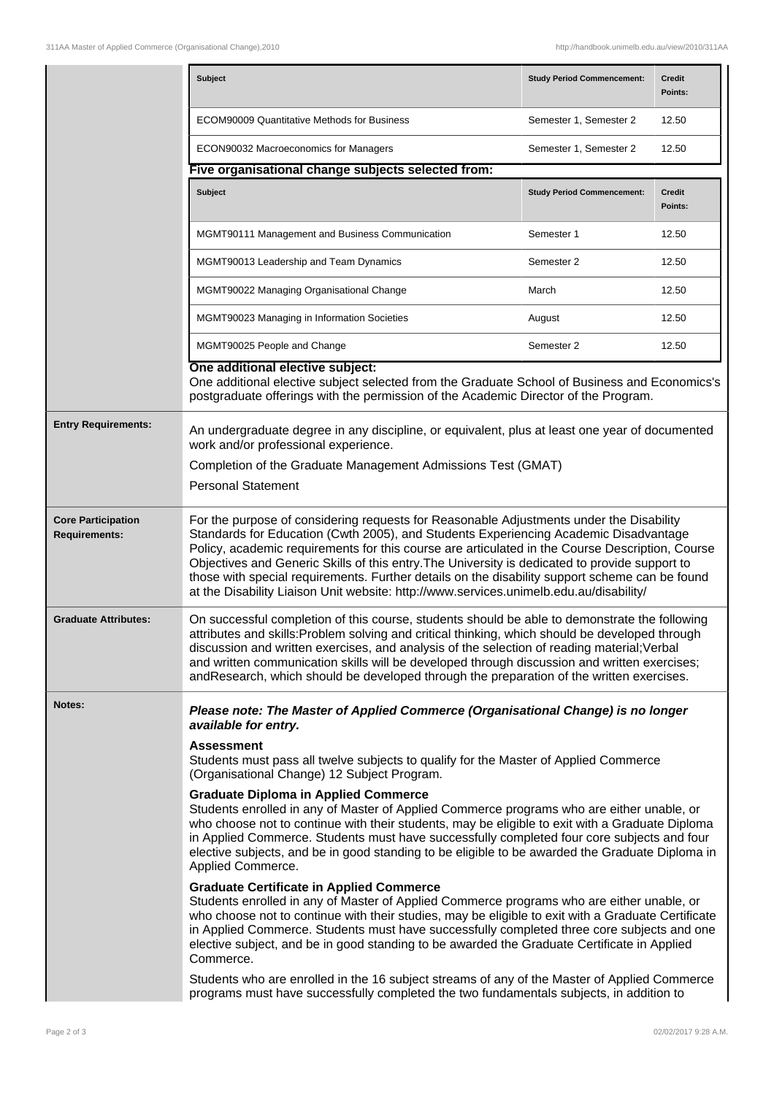|                                                   | <b>Subject</b>                                                                                                                                                                                                                                                                                                                                                                                                                                                                                                                                                                                                                                                                                                                                                                                                                                                                                                                    | <b>Study Period Commencement:</b> | <b>Credit</b><br>Points: |  |  |
|---------------------------------------------------|-----------------------------------------------------------------------------------------------------------------------------------------------------------------------------------------------------------------------------------------------------------------------------------------------------------------------------------------------------------------------------------------------------------------------------------------------------------------------------------------------------------------------------------------------------------------------------------------------------------------------------------------------------------------------------------------------------------------------------------------------------------------------------------------------------------------------------------------------------------------------------------------------------------------------------------|-----------------------------------|--------------------------|--|--|
|                                                   | <b>ECOM90009 Quantitative Methods for Business</b>                                                                                                                                                                                                                                                                                                                                                                                                                                                                                                                                                                                                                                                                                                                                                                                                                                                                                | Semester 1, Semester 2            | 12.50                    |  |  |
|                                                   | ECON90032 Macroeconomics for Managers                                                                                                                                                                                                                                                                                                                                                                                                                                                                                                                                                                                                                                                                                                                                                                                                                                                                                             | Semester 1, Semester 2            | 12.50                    |  |  |
|                                                   | Five organisational change subjects selected from:                                                                                                                                                                                                                                                                                                                                                                                                                                                                                                                                                                                                                                                                                                                                                                                                                                                                                |                                   |                          |  |  |
|                                                   | Subject                                                                                                                                                                                                                                                                                                                                                                                                                                                                                                                                                                                                                                                                                                                                                                                                                                                                                                                           | <b>Study Period Commencement:</b> | <b>Credit</b><br>Points: |  |  |
|                                                   | MGMT90111 Management and Business Communication                                                                                                                                                                                                                                                                                                                                                                                                                                                                                                                                                                                                                                                                                                                                                                                                                                                                                   | Semester 1                        | 12.50                    |  |  |
|                                                   | MGMT90013 Leadership and Team Dynamics                                                                                                                                                                                                                                                                                                                                                                                                                                                                                                                                                                                                                                                                                                                                                                                                                                                                                            | Semester 2                        | 12.50                    |  |  |
|                                                   | MGMT90022 Managing Organisational Change                                                                                                                                                                                                                                                                                                                                                                                                                                                                                                                                                                                                                                                                                                                                                                                                                                                                                          | March                             | 12.50                    |  |  |
|                                                   | MGMT90023 Managing in Information Societies                                                                                                                                                                                                                                                                                                                                                                                                                                                                                                                                                                                                                                                                                                                                                                                                                                                                                       | August                            | 12.50                    |  |  |
|                                                   | MGMT90025 People and Change                                                                                                                                                                                                                                                                                                                                                                                                                                                                                                                                                                                                                                                                                                                                                                                                                                                                                                       | Semester 2                        | 12.50                    |  |  |
|                                                   | One additional elective subject:<br>One additional elective subject selected from the Graduate School of Business and Economics's<br>postgraduate offerings with the permission of the Academic Director of the Program.                                                                                                                                                                                                                                                                                                                                                                                                                                                                                                                                                                                                                                                                                                          |                                   |                          |  |  |
| <b>Entry Requirements:</b>                        | An undergraduate degree in any discipline, or equivalent, plus at least one year of documented<br>work and/or professional experience.                                                                                                                                                                                                                                                                                                                                                                                                                                                                                                                                                                                                                                                                                                                                                                                            |                                   |                          |  |  |
|                                                   | Completion of the Graduate Management Admissions Test (GMAT)                                                                                                                                                                                                                                                                                                                                                                                                                                                                                                                                                                                                                                                                                                                                                                                                                                                                      |                                   |                          |  |  |
|                                                   | <b>Personal Statement</b>                                                                                                                                                                                                                                                                                                                                                                                                                                                                                                                                                                                                                                                                                                                                                                                                                                                                                                         |                                   |                          |  |  |
| <b>Core Participation</b><br><b>Requirements:</b> | For the purpose of considering requests for Reasonable Adjustments under the Disability<br>Standards for Education (Cwth 2005), and Students Experiencing Academic Disadvantage<br>Policy, academic requirements for this course are articulated in the Course Description, Course<br>Objectives and Generic Skills of this entry. The University is dedicated to provide support to<br>those with special requirements. Further details on the disability support scheme can be found<br>at the Disability Liaison Unit website: http://www.services.unimelb.edu.au/disability/                                                                                                                                                                                                                                                                                                                                                  |                                   |                          |  |  |
| <b>Graduate Attributes:</b>                       | On successful completion of this course, students should be able to demonstrate the following<br>attributes and skills: Problem solving and critical thinking, which should be developed through<br>discussion and written exercises, and analysis of the selection of reading material; Verbal<br>and written communication skills will be developed through discussion and written exercises;<br>andResearch, which should be developed through the preparation of the written exercises.                                                                                                                                                                                                                                                                                                                                                                                                                                       |                                   |                          |  |  |
| Notes:                                            | Please note: The Master of Applied Commerce (Organisational Change) is no longer<br>available for entry.                                                                                                                                                                                                                                                                                                                                                                                                                                                                                                                                                                                                                                                                                                                                                                                                                          |                                   |                          |  |  |
|                                                   | <b>Assessment</b><br>Students must pass all twelve subjects to qualify for the Master of Applied Commerce<br>(Organisational Change) 12 Subject Program.                                                                                                                                                                                                                                                                                                                                                                                                                                                                                                                                                                                                                                                                                                                                                                          |                                   |                          |  |  |
|                                                   | <b>Graduate Diploma in Applied Commerce</b><br>Students enrolled in any of Master of Applied Commerce programs who are either unable, or<br>who choose not to continue with their students, may be eligible to exit with a Graduate Diploma<br>in Applied Commerce. Students must have successfully completed four core subjects and four<br>elective subjects, and be in good standing to be eligible to be awarded the Graduate Diploma in<br>Applied Commerce.<br><b>Graduate Certificate in Applied Commerce</b><br>Students enrolled in any of Master of Applied Commerce programs who are either unable, or<br>who choose not to continue with their studies, may be eligible to exit with a Graduate Certificate<br>in Applied Commerce. Students must have successfully completed three core subjects and one<br>elective subject, and be in good standing to be awarded the Graduate Certificate in Applied<br>Commerce. |                                   |                          |  |  |
|                                                   |                                                                                                                                                                                                                                                                                                                                                                                                                                                                                                                                                                                                                                                                                                                                                                                                                                                                                                                                   |                                   |                          |  |  |
|                                                   | Students who are enrolled in the 16 subject streams of any of the Master of Applied Commerce<br>programs must have successfully completed the two fundamentals subjects, in addition to                                                                                                                                                                                                                                                                                                                                                                                                                                                                                                                                                                                                                                                                                                                                           |                                   |                          |  |  |